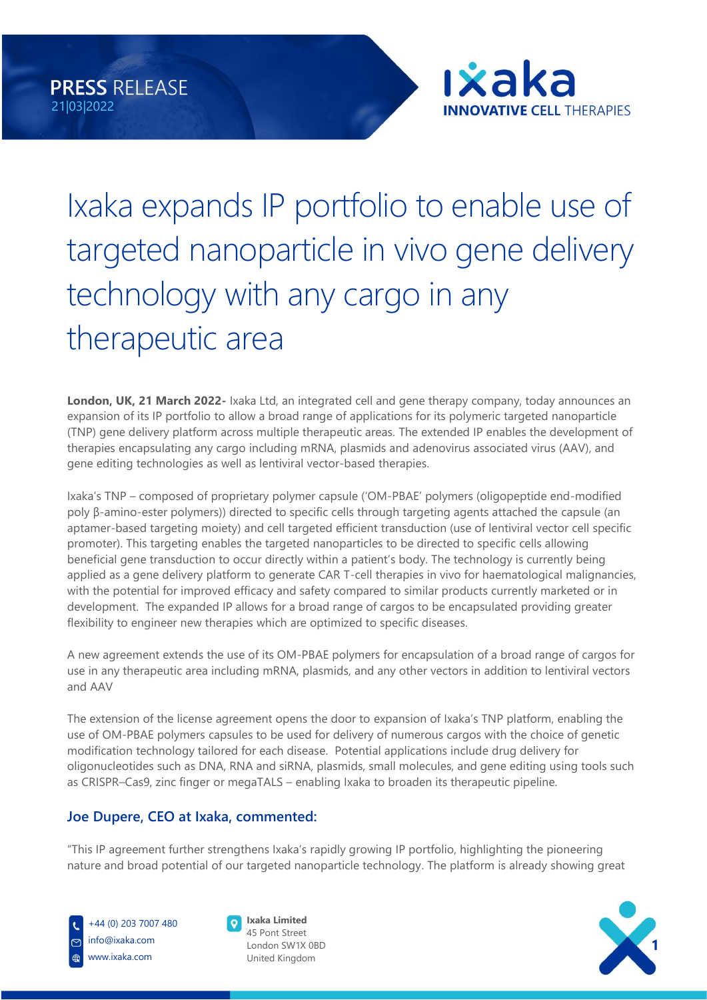



# Ixaka expands IP portfolio to enable use of targeted nanoparticle in vivo gene delivery technology with any cargo in any therapeutic area

**London, UK, 21 March 2022-** Ixaka Ltd, an integrated cell and gene therapy company, today announces an expansion of its IP portfolio to allow a broad range of applications for its polymeric targeted nanoparticle (TNP) gene delivery platform across multiple therapeutic areas. The extended IP enables the development of therapies encapsulating any cargo including mRNA, plasmids and adenovirus associated virus (AAV), and gene editing technologies as well as lentiviral vector-based therapies.

Ixaka's TNP – composed of proprietary polymer capsule ('OM-PBAE' polymers (oligopeptide end-modified poly β-amino-ester polymers)) directed to specific cells through targeting agents attached the capsule (an aptamer-based targeting moiety) and cell targeted efficient transduction (use of lentiviral vector cell specific promoter). This targeting enables the targeted nanoparticles to be directed to specific cells allowing beneficial gene transduction to occur directly within a patient's body. The technology is currently being applied as a gene delivery platform to generate CAR T-cell therapies in vivo for haematological malignancies, with the potential for improved efficacy and safety compared to similar products currently marketed or in development. The expanded IP allows for a broad range of cargos to be encapsulated providing greater flexibility to engineer new therapies which are optimized to specific diseases.

A new agreement extends the use of its OM-PBAE polymers for encapsulation of a broad range of cargos for use in any therapeutic area including mRNA, plasmids, and any other vectors in addition to lentiviral vectors and AAV

The extension of the license agreement opens the door to expansion of Ixaka's TNP platform, enabling the use of OM-PBAE polymers capsules to be used for delivery of numerous cargos with the choice of genetic modification technology tailored for each disease. Potential applications include drug delivery for oligonucleotides such as DNA, RNA and siRNA, plasmids, small molecules, and gene editing using tools such as CRISPR–Cas9, zinc finger or megaTALS – enabling Ixaka to broaden its therapeutic pipeline.

## **Joe Dupere, CEO at Ixaka, commented:**

"This IP agreement further strengthens Ixaka's rapidly growing IP portfolio, highlighting the pioneering nature and broad potential of our targeted nanoparticle technology. The platform is already showing great



+44 (0) 203 7007 480 info@ixaka.com www.ixaka.com



United Kingdom

**1**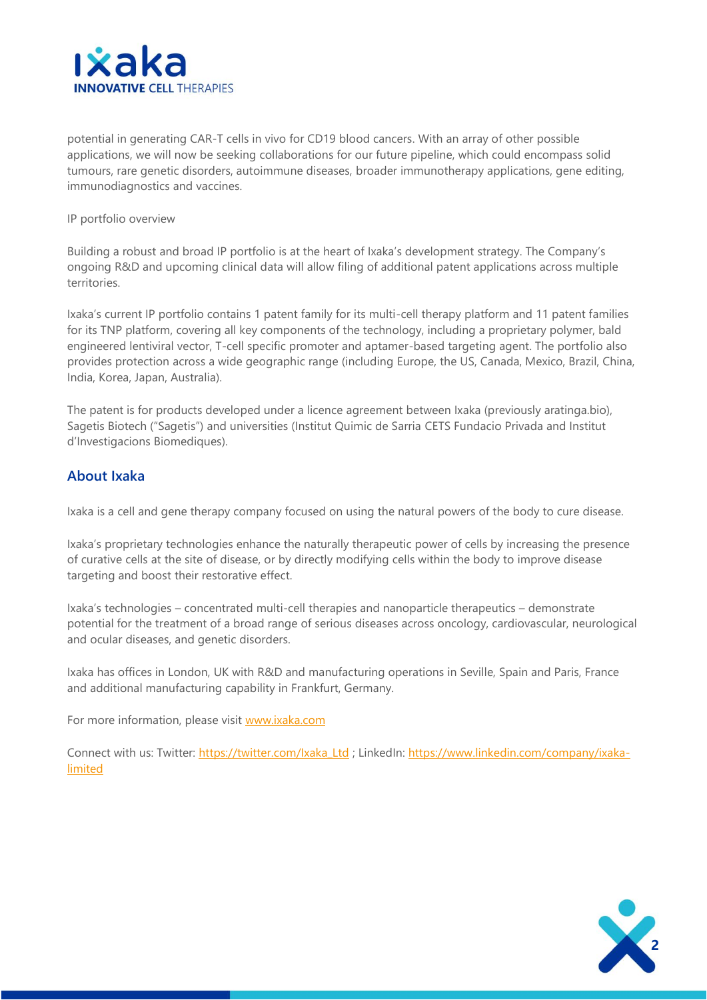

potential in generating CAR-T cells in vivo for CD19 blood cancers. With an array of other possible applications, we will now be seeking collaborations for our future pipeline, which could encompass solid tumours, rare genetic disorders, autoimmune diseases, broader immunotherapy applications, gene editing, immunodiagnostics and vaccines.

IP portfolio overview

Building a robust and broad IP portfolio is at the heart of Ixaka's development strategy. The Company's ongoing R&D and upcoming clinical data will allow filing of additional patent applications across multiple territories.

Ixaka's current IP portfolio contains 1 patent family for its multi-cell therapy platform and 11 patent families for its TNP platform, covering all key components of the technology, including a proprietary polymer, bald engineered lentiviral vector, T-cell specific promoter and aptamer-based targeting agent. The portfolio also provides protection across a wide geographic range (including Europe, the US, Canada, Mexico, Brazil, China, India, Korea, Japan, Australia).

The patent is for products developed under a licence agreement between Ixaka (previously aratinga.bio), Sagetis Biotech ("Sagetis") and universities (Institut Quimic de Sarria CETS Fundacio Privada and Institut d'Investigacions Biomediques).

### **About Ixaka**

Ixaka is a cell and gene therapy company focused on using the natural powers of the body to cure disease.

Ixaka's proprietary technologies enhance the naturally therapeutic power of cells by increasing the presence of curative cells at the site of disease, or by directly modifying cells within the body to improve disease targeting and boost their restorative effect.

Ixaka's technologies – concentrated multi-cell therapies and nanoparticle therapeutics – demonstrate potential for the treatment of a broad range of serious diseases across oncology, cardiovascular, neurological and ocular diseases, and genetic disorders.

Ixaka has offices in London, UK with R&D and manufacturing operations in Seville, Spain and Paris, France and additional manufacturing capability in Frankfurt, Germany.

For more information, please visit [www.ixaka.com](http://www.ixaka.com/)

Connect with us: Twitter: [https://twitter.com/Ixaka\\_Ltd](https://twitter.com/Ixaka_Ltd) ; LinkedIn: [https://www.linkedin.com/company/ixaka](https://www.linkedin.com/company/ixaka-limited)[limited](https://www.linkedin.com/company/ixaka-limited)